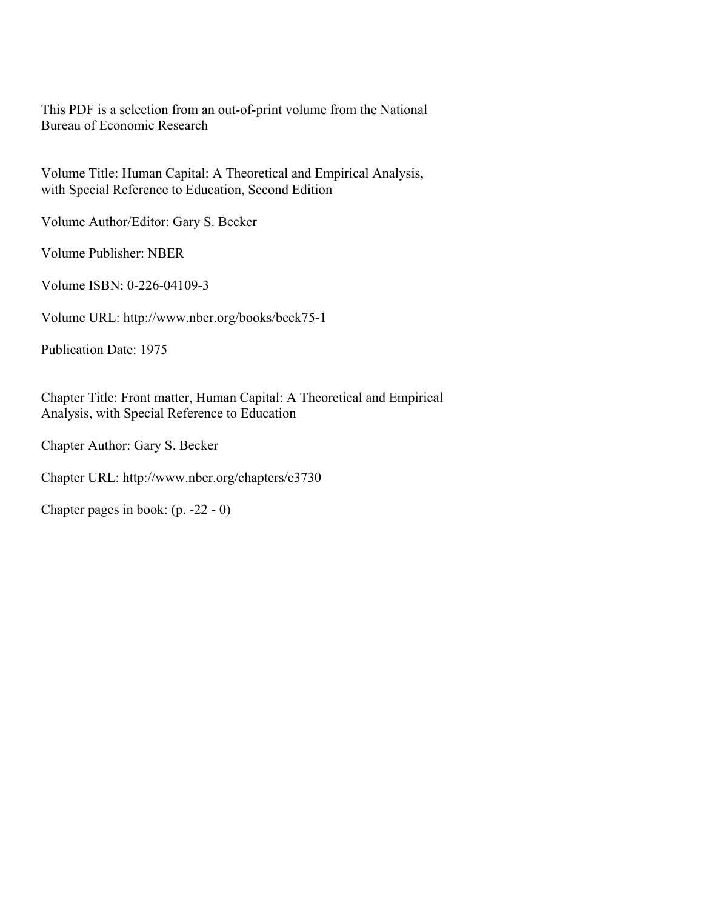This PDF is a selection from an out-of-print volume from the National Bureau of Economic Research

Volume Title: Human Capital: A Theoretical and Empirical Analysis, with Special Reference to Education, Second Edition

Volume Author/Editor: Gary S. Becker

Volume Publisher: NBER

Volume ISBN: 0-226-04109-3

Volume URL: http://www.nber.org/books/beck75-1

Publication Date: 1975

Chapter Title: Front matter, Human Capital: A Theoretical and Empirical Analysis, with Special Reference to Education

Chapter Author: Gary S. Becker

Chapter URL: http://www.nber.org/chapters/c3730

Chapter pages in book: (p. -22 - 0)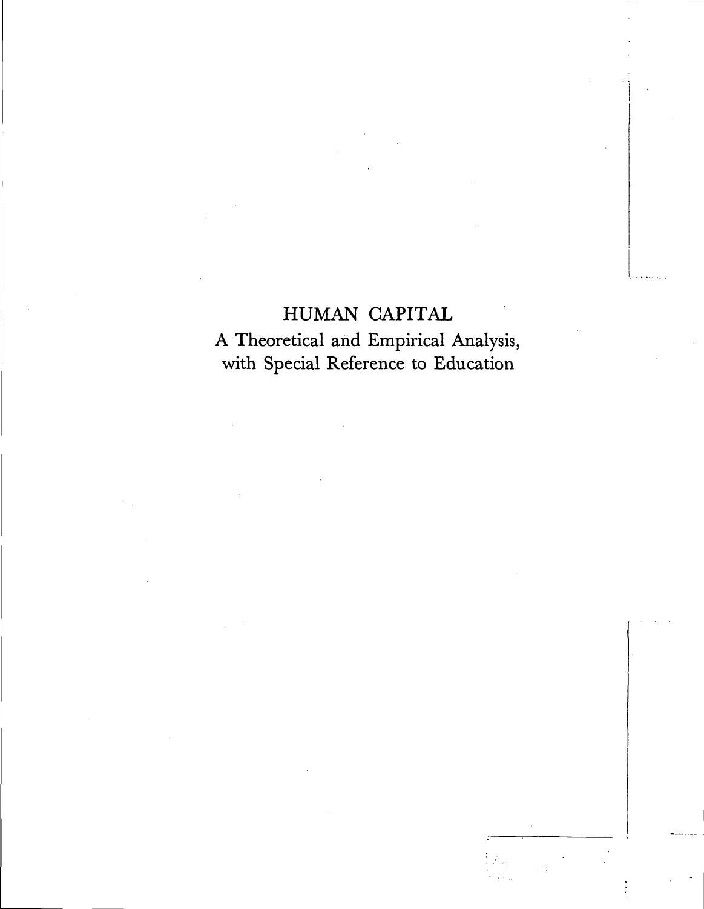# HUMAN CAPITAL

# A Theoretical and Empirical Analysis, with Special Reference to Education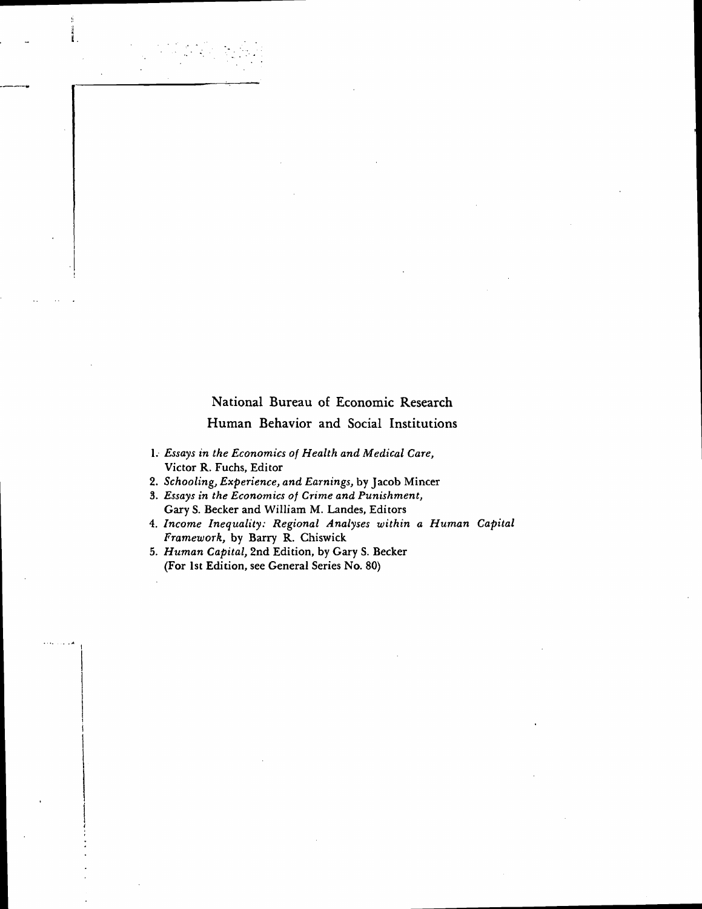## National Bureau of Economic Research Human Behavior and Social Institutions

- 1. Essays in the Economics of Health and Medical Care, Victor R. Fuchs, Editor
- 2. Schooling, Experience, and Earnings, by Jacob Mincer
- 3. Essays in the Economics of Crime and Punishment, Gary S. Becker and William M. Landes, Editors
- 4. Income Inequality: Regional Analyses within a Human Capital Framework, by Barry R. Chiswick
- 5. Human Capital, 2nd Edition, by Gary S. Becker (For 1st Edition, see General Series No. 80)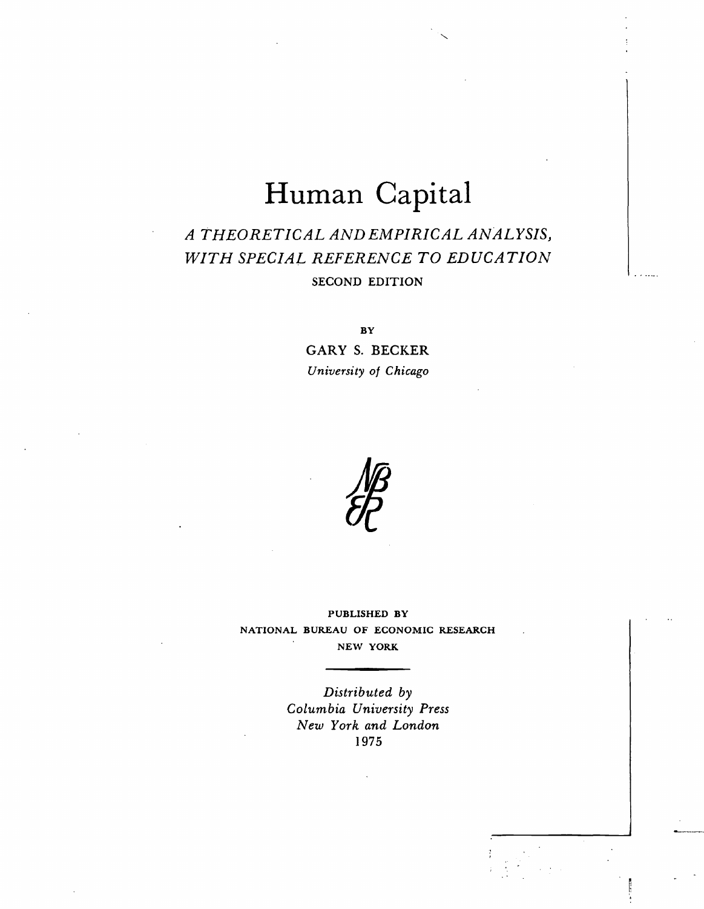# Human Capital

# A THEORETICAL AND EMPIRICAL ANALYSIS, WITH SPECIAL REFERENCE TO EDUCATION SECOND EDITION

**BY** 

GARY S. BECKER University of Chicago



PUBLISHED BY NATIONAL BUREAU OF ECONOMIC RESEARCH NEW YORK

> Distributed by Columbia University Press New York and London 1975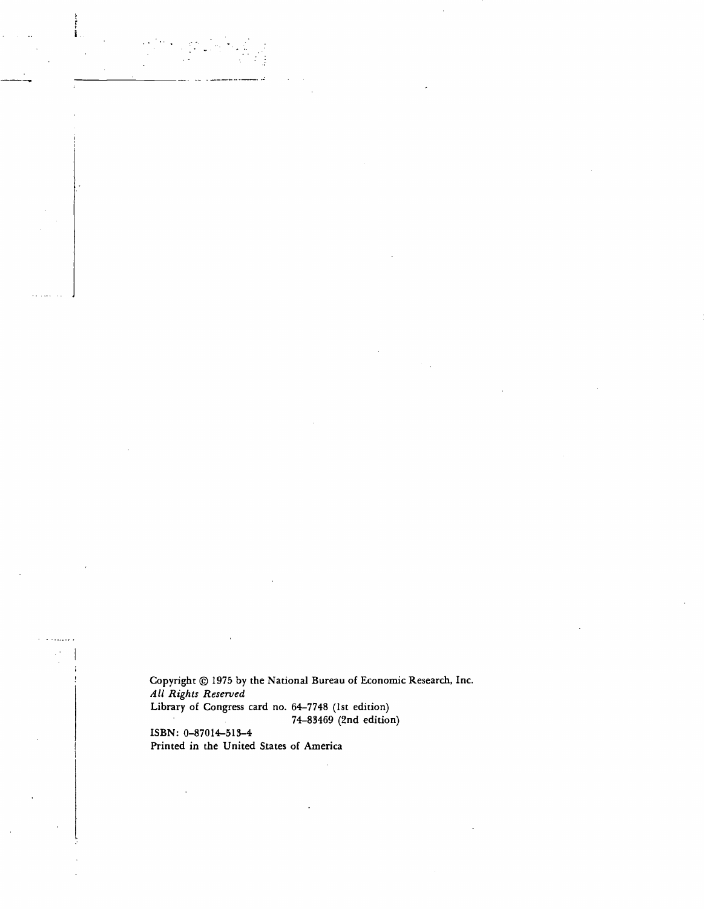Copyright © 1975 by the National Bureau of Economic Research, Inc. All Rights Reserved Library of Congress card no. 64—7748 (1st edition) 74-83469 (2nd edition)

ISBN: 0—87014—513—4 Printed in the United States of America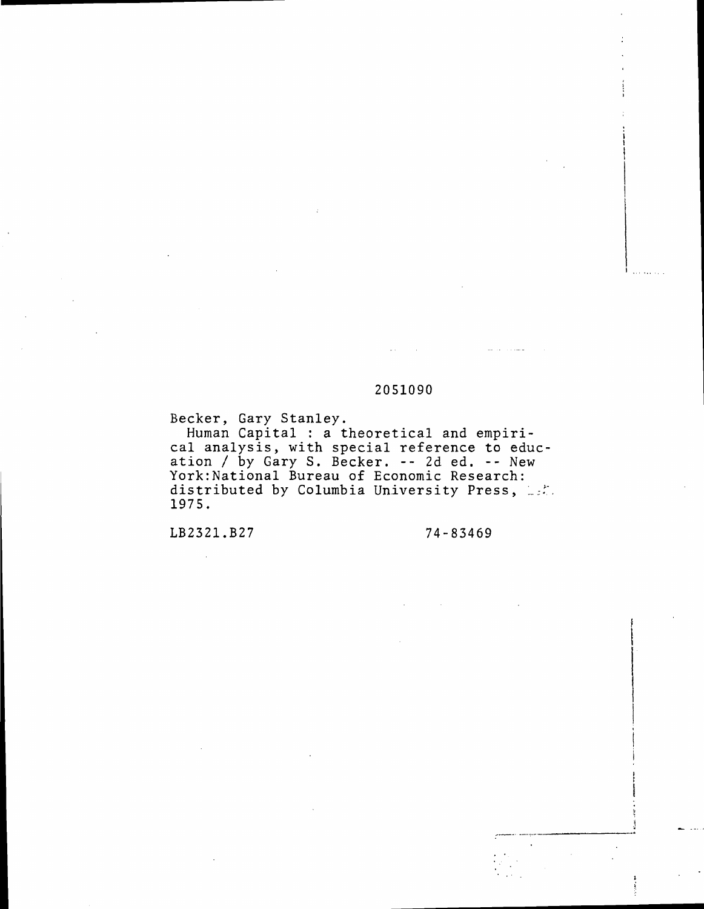#### 2051090

Becker, Gary Stanley.

Human Capital : a theoretical and empirical analysis, with special reference to education / by Gary S. Becker. -- 2d ed. -- New York:National Bureau of Economic Research: distributed by Columbia University Press, 1975.

LB2321.B27 74-83469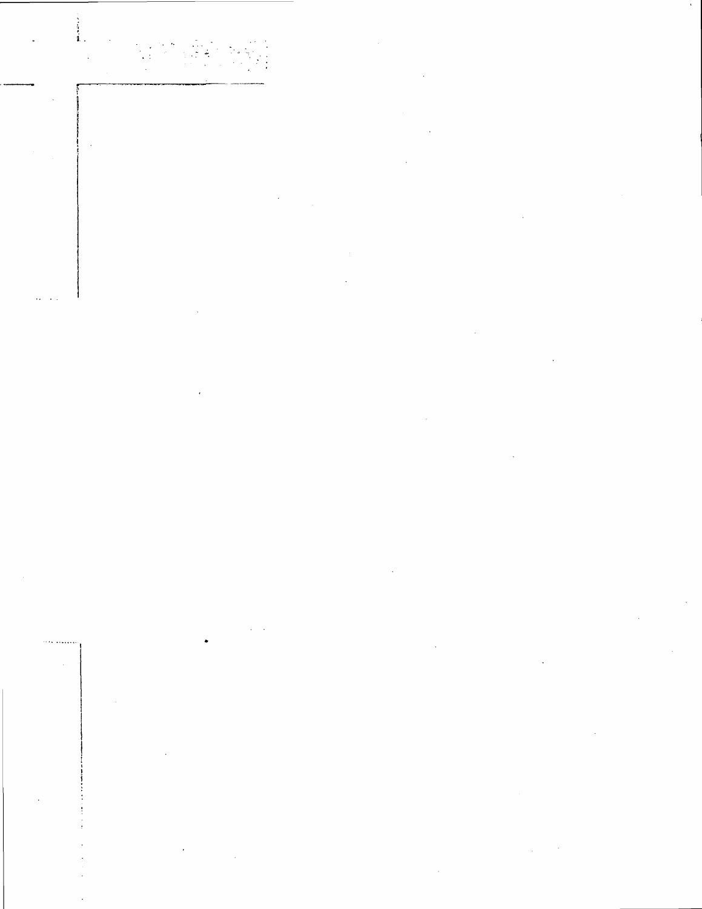$\label{eq:2.1} \mathcal{L}_{\mathcal{A}}(\mathcal{A}) = \mathcal{L}_{\mathcal{A}}(\mathcal{A}) \mathcal{L}_{\mathcal{A}}(\mathcal{A})$  $\label{eq:2.1} \frac{1}{\sqrt{2}}\left(\frac{1}{\sqrt{2}}\right)^{2} \left(\frac{1}{\sqrt{2}}\right)^{2} \left(\frac{1}{\sqrt{2}}\right)^{2} \left(\frac{1}{\sqrt{2}}\right)^{2} \left(\frac{1}{\sqrt{2}}\right)^{2} \left(\frac{1}{\sqrt{2}}\right)^{2} \left(\frac{1}{\sqrt{2}}\right)^{2} \left(\frac{1}{\sqrt{2}}\right)^{2} \left(\frac{1}{\sqrt{2}}\right)^{2} \left(\frac{1}{\sqrt{2}}\right)^{2} \left(\frac{1}{\sqrt{2}}\right)^{2} \left(\$  $\mathcal{O}(\mathcal{O}(\log n))$  $\label{eq:2.1} \frac{1}{\sqrt{2}}\int_{\mathbb{R}^3}\frac{1}{\sqrt{2}}\left(\frac{1}{\sqrt{2}}\right)^2\frac{1}{\sqrt{2}}\left(\frac{1}{\sqrt{2}}\right)^2\frac{1}{\sqrt{2}}\left(\frac{1}{\sqrt{2}}\right)^2\frac{1}{\sqrt{2}}\left(\frac{1}{\sqrt{2}}\right)^2.$  $\label{eq:2.1} \frac{1}{\sqrt{2}}\left(\frac{1}{\sqrt{2}}\right)^{2} \left(\frac{1}{\sqrt{2}}\right)^{2} \left(\frac{1}{\sqrt{2}}\right)^{2} \left(\frac{1}{\sqrt{2}}\right)^{2} \left(\frac{1}{\sqrt{2}}\right)^{2} \left(\frac{1}{\sqrt{2}}\right)^{2} \left(\frac{1}{\sqrt{2}}\right)^{2} \left(\frac{1}{\sqrt{2}}\right)^{2} \left(\frac{1}{\sqrt{2}}\right)^{2} \left(\frac{1}{\sqrt{2}}\right)^{2} \left(\frac{1}{\sqrt{2}}\right)^{2} \left(\$  $\label{eq:2.1} \frac{1}{\sqrt{2}}\int_{\mathbb{R}^3}\frac{1}{\sqrt{2}}\left(\frac{1}{\sqrt{2}}\right)^2\frac{1}{\sqrt{2}}\left(\frac{1}{\sqrt{2}}\right)^2\frac{1}{\sqrt{2}}\left(\frac{1}{\sqrt{2}}\right)^2\frac{1}{\sqrt{2}}\left(\frac{1}{\sqrt{2}}\right)^2.$  $\label{eq:2.1} \mathcal{L}(\mathcal{L}^{\text{max}}_{\mathcal{L}}(\mathcal{L}^{\text{max}}_{\mathcal{L}}(\mathcal{L}^{\text{max}}_{\mathcal{L}}(\mathcal{L}^{\text{max}}_{\mathcal{L}^{\text{max}}_{\mathcal{L}}})))))$  $\mathcal{O}(\mathcal{O}(10^6))$  . The second contribution of the second contribution of  $\mathcal{O}(\mathcal{O}(10^6))$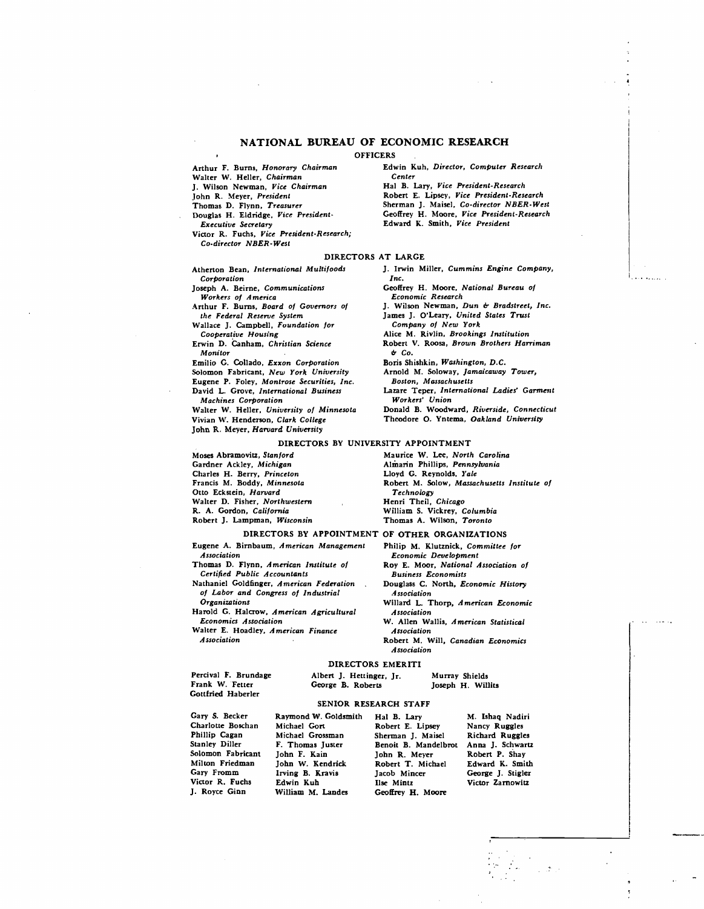#### NATIONAL BUREAU OF ECONOMIC RESEARCH

#### **OFFICERS**

Arthur F. Burns, Honorary Chairman Walter W. Heller, Chairman J. Wilson Newman, Vice Chairman John R. Meyer, President Thomas D. Flynn. Treasurer Douglas H. Eldridge, Vice President-Executive Secretary Victor R. Fuchs, Vice President-Research; Co-director NBER-West

Atherton Bean, International Multifoods Corporation Joseph A. Beirne, Communications

Workers of America Arthur F. Burns, Board of Governors of the Federal Reserve System Wallace J. Campbell, Foundation for

Cooperative Housing Erwin D. Canham, Christian Science

Monitor

Emilio G. Collado, Exxon Corporation

Solomon Fabricant, New York University

Eugene P. Foley, Montrose Securities, Inc.

David L. Grove, International Business Machines Corporation Walter W. Heller, University of Minnesota Vivian W. Henderson, Clark College

John R. Meyer, Harvard University

#### DIRECTORS BY UNIVERSITY APPOINTMENT

Moses Abramovitz, Stanford Gardner Ackley, Michigan Charles H. Berry, Princeton Francis M. Boddy, Minnesota Otto Eckstein, Harvard Walter D. Fisher, Northwestern R. A. Gordon, California Robert J. Lampman, Wisconsin

Eugene A. Birnbaum, American Management Association

Thomas D. Flynn, American Institute of Certified Public Accountants

Nathaniel Goldfinger, American Federation of Labor and Congress of Industrial Organizations

Harold G. Haicrow, American Agricultural Economics Association

Walter E. Hoadley, American Finance Association

Percival F. Brundage Frank W. Fetter Gottfried Haberler

Albert J. Hettinger, Jr. George B. Roberts SENIOR RESEARCH STAFF

Gary S. Becker Charlotte Boschan Phillip Cagan Stanley Diller Solomon Fabricant Milton Friedman Gary Fromm Victor R. Fuchs J. Royce Gion

Raymond W. Goldsmith Michael Gort Michael Grossman F. Thomas Juster John F. Rain John W. Kendrick Irving B. Kravis Edwin Kuh William M. Landes

Hal B. Lary Robert E. Lipsey Sherman J. Maisel Benoit B. Mandelbrot John R. Meyer Robert T. Michael Jacob Mincer Ilse Mintz Geoffrey H. Moore

Edwin Kuh, Director, Computer Research Center Hal B. Lary, Vice President-Research

- S

Robert E. Lipsey, Vice President-Research Sherman J. Maisel, Co-director NBER.West Geoffrey H. Moore, Vice President-Research Edward K. Smith, Vice President

#### DIRECTORS AT LARGE

- J. Irwin Miller, Cummins Engine Company, Inc.
- Geoffrey H. Moore, National Bureau of Economic Research

J. Wilson Newman, Dun & Bradstreet, Inc.

James J. O'Leary, United States Trust Company of New York

- Alice M. Rivlin, Brookings Institution
- Robert V. Roosa, Brown Brothers Harriman  $\sigma$  Co.

Boris Shishkin, Washington, D.C.

- Arnold M. Soloway, Jamaicaway Tower, Boslon, Massachusetts
- Lazare Teper, International Ladies' Garment Workers' Union
- Donald B. Woodward, Riverside, Connecticut Theodore 0. Yntema, Oakland University

Maurice W. Lee, North Carolina

- Almarin Phillips. Pennsylvania
- Lloyd G. Reynolds, Yale
- Robert M. Solow, Massachusetts Institute of Technology

Henri Theil, Chicago

William S. Vickrey, Columbia

Thomas A. Wilson, Toronto

#### DIRECTORS BY APPOINTMENT OF OTHER ORGANIZATIONS

Philip M. Klutznick, Committee for Economic Development

Roy E. Moor, National Association of Business Economists

- Douglass C. North, Economic History Association
- Willard L. Thorp, American Economic Association

W. Allen Wallis, American Statistical Association

Robert M. Will, Canadian Economics Association

#### DIRECTORS EMERITI

Murray Shields Joseph H. Willics

> M. Ishaq Nadiri Nancy Ruggles Richard Ruggles Anna J. Schwartz Robert P. Shay Edward K. Smith George J. Stigler Victor Zarnowitz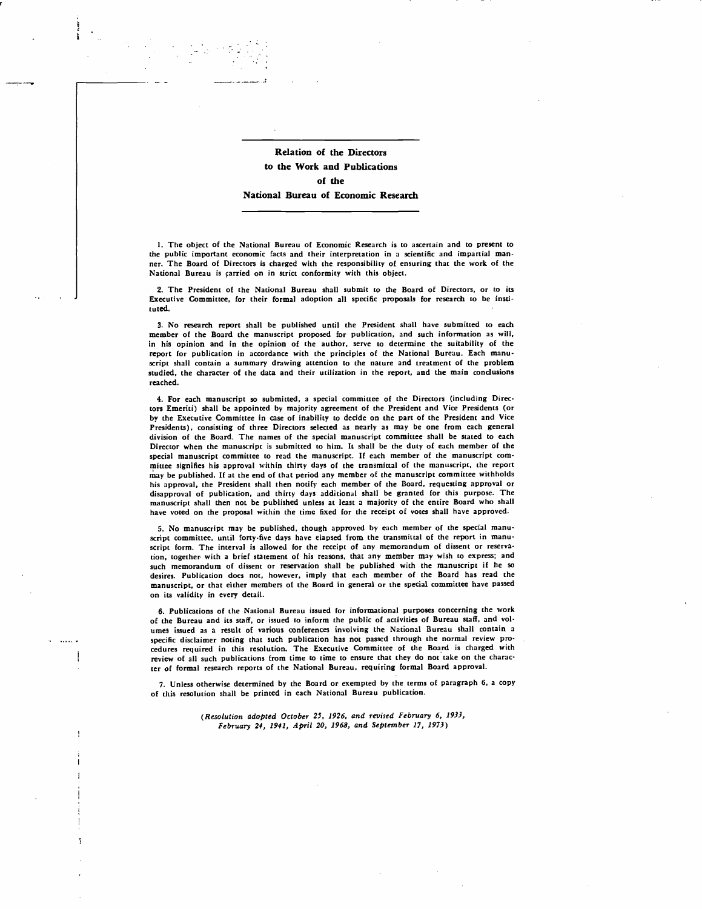#### Relation of the Directors to the Work and Publications of the National Bureau of Economic Research

1. The object of the National Bureau of Economic Research is to ascertain and to present to the public important economic facts and their interpretation in a scientific and impartial manner. The Board of Directors is charged with the responsibility of ensuring that the work of the National Bureau is carried on in strict conformity with this object.

2. The President of the National Bureau shall submit to the Board of Directors, or to its Executive Committee, for their formal adoption all specific proposals for research to be instituted.

3. No research report shall be published until the President shall have submitted to each member of the Board the manuscript proposed for publication, and such information as will, in his opinion and in the opinion of the author, serve to determine the suitability of the report for publication in accordance with the principles of the National Bureau. Each manuscript shall contain a summary drawing attention to the nature and treatment of the problem studied, the character of the data and their utilization in the report, and the main condusions reached.

4. For each manuscript so submitted, a special committee of the Directors (including Directors Emeriti) shall be appointed by majority agreement of the President and Vice Presidents (or by the Executive Committee in case of inability to decide on the part of the President and Vice Presidents), consisting of three Directors selected as nearly as may be one from each general division of the Board. The names of the special manuscript committee shall be stated to each Director when the manuscript is submitted to him. It shall be the duty of each member of the special manuscript committee to read the manuscript. If each member of the manuscript committee signifies his approval within thirty days of the transmittal of the manuscript, the report may be published. If at the end of that period any member of the manuscript committee withholds<br>his approval, the President shall then notify each member of the Board, requesting approval or disapproval of publication, and thirty days additional shall be granted for this purpose. The manuscript shall then not be published unless at least a majority of the entire Board who shall have voted on the proposal within the time fixed for the receipt of votes shall have approved.

5. No manuscript may be published, though approved by each member of the special manuscript committee, until forty-five days have elapsed from the transmittal of the report in manuscript form. The interval is allowed for the receipt of any memorandum of dissent or reservation, together. with a brief statement of his reasons, that any member may wish to express; and such memorandum of dissent or reservation shall be published with the manuscript if he so desires. Publication does not, however, imply that each member of the Board has read the manuscript, or that either members of the Board in general or the special committee have passed on its validity in every detail.

6. Publications of the National Bureau issued for informational purposes concerning the work of the Bureau and its staff, or issued to inform the public of activities of Bureau staff, and vol. umes issued as a result of various conferences involving the National Bureau shall contain a specific disclaimer noting that such publication has not passed through the normal review procedures required in this resolution. The Executive Committee of the Board is charged with review of all such publications from time to time to ensure that they do not take on the character of formal research reports of the National Bureau, requiring formal Board approval.

7. Unless otherwise determined by the Board or exempted by the terms of paragraph 6, a copy of this resolution shall be printed in each National Bureau publication.

> (Resolution adopted October 25, 1926, and revised February 6, 1933, February 24, 1941, April 20, 1968, and September 17, 1973)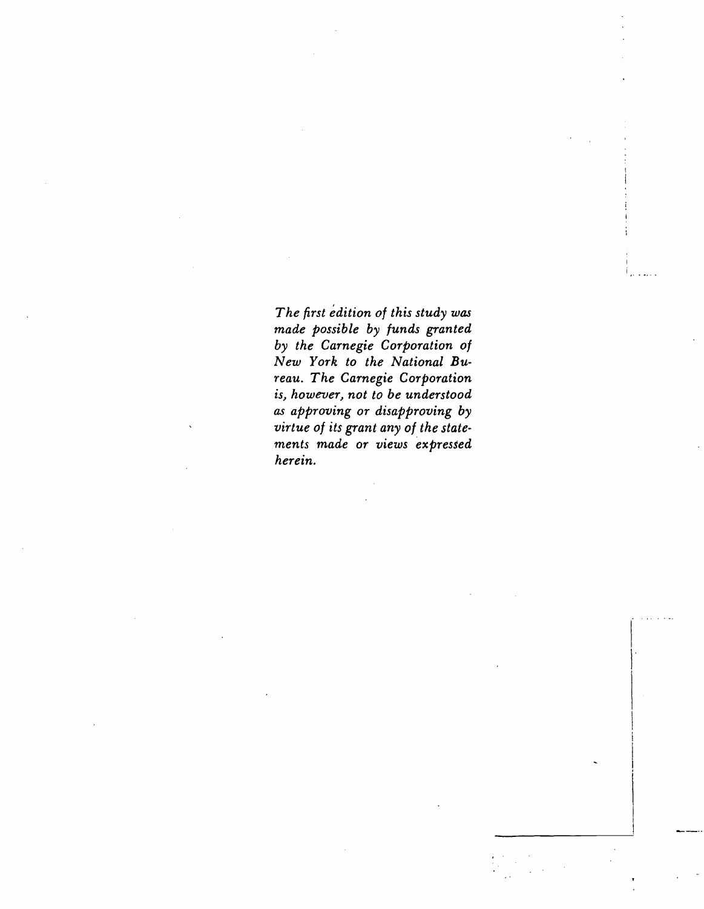The first edition of this study was made possible by funds granted by the Carnegie Corporation of New York to the National Bureau. The Carnegie Corporation is, however, not to be understood as approving or disapproving by virtue of its grant any of the statements made or views expressed herein.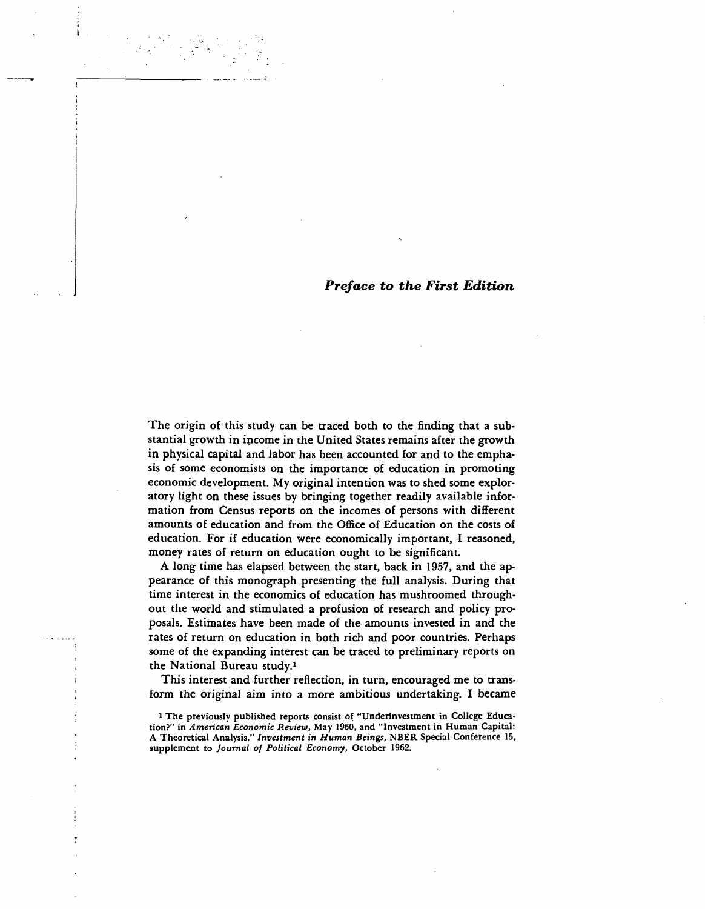#### Preface to the First Edition

The origin of this study can be traced both to the finding that a substantial growth in income in the United States remains after the growth in physical capital and labor has been accounted for and to the emphasis of some economists on the importance of education in promoting economic development. My original intention was to shed some exploratory light on these issues by bringing together readily available information from Census reports on the incomes of persons with different amounts of education and from the Office of Education on the costs of education. For if education were economically important, I reasoned, money rates of return on education ought to be significant.

A long time has elapsed between the start, back in 1957, and the appearance of this monograph presenting the full analysis. During that time interest in the economics of education has mushroomed throughout the world and stimulated a profusion of research and policy proposals. Estimates have been made of the amounts invested in and the rates of return on education in both rich and poor countries. Perhaps some of the expanding interest can be traced to preliminary reports on the National Bureau study.<sup>1</sup>

This interest and further reflection, in turn, encouraged me to transform the original aim into a more ambitious undertaking. I became

<sup>1</sup> The previously published reports consist of "Underinvestment in College Education?" in American Economic Review, May 1960, and "Investment in Human Capital: A Theoretical Analysis," Investment in Human Beings, NBER Special Conference 15, supplement to Journal of Political Economy, October 1962.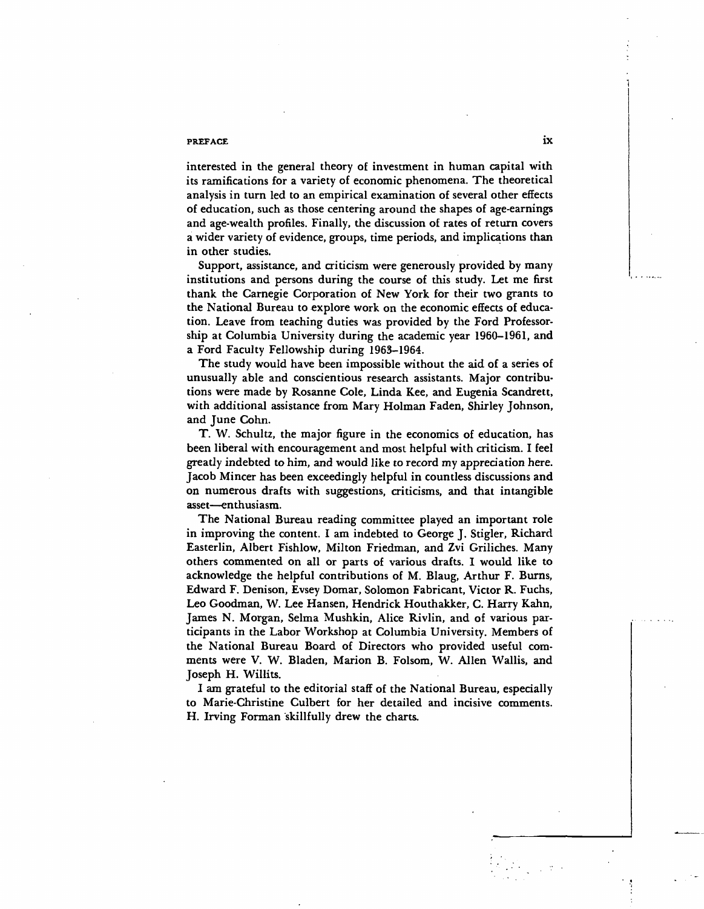#### PREFACE 1X

interested in the general theory of investment in human capital with its ramifications for a variety of economic phenomena. The theoretical analysis in turn led to an empirical examination of several other effects of education, such as those centering around the shapes of age-earnings and age-wealth profiles. Finally, the discussion of rates of return covers a wider variety of evidence, groups, time periods, and implications than in other studies.

Support, assistance, and criticism were generously provided by many institutions and persons during the course of this study. Let me first thank the Carnegie Corporation of New York for their two grants to the National Bureau to explore work on the economic effects of education. Leave from teaching duties was provided by the Ford Professorship at Columbia University during the academic year 1960—1961, and a Ford Faculty Fellowship during 196S—1964.

The study would have been impossible without the aid of a series of unusually able and conscientious research assistants. Major contributions were made by Rosanne Cole, Linda Kee, and Eugenia Scandrett, with additional assistance from Mary Holman Faden, Shirley Johnson, and June Cohn.

T. W. Schultz, the major figure in the economics of education, has been liberal with encouragement and most helpful with criticism. I feel greatly indebted to him, and would like to record my appreciation here. Jacob Mincer has been exceedingly helpful in countless discussions and on numerous drafts with suggestions, criticisms, and that intangible asset—enthusiasm.

The National Bureau reading committee played an important role in improving the content. I am indebted to George J. Stigler, Richard Easterlin, Albert Fishlow, Milton Friedman, and Zvi Griliches. Many others commented on all or parts of various drafts. I would like to acknowledge the helpful contributions of M. Blaug, Arthur F. Burns, Edward F. Denison, Evsey Domar, Solomon Fabricant, Victor R. Fuchs, Leo Goodman, W. Lee Hansen, Hendrick Houthakker, C. Harry Kahn, James N. Morgan, Selma Mushkin, Alice Rivlin, and of various participants in the Labor Workshop at Columbia University. Members of the National Bureau Board of Directors who provided useful comments were V. W. Bladen, Marion B. Folsom, W. Allen Wallis, and Joseph H. Willits.

I am grateful to the editorial staff of the National Bureau, especially to Marie-Christine Culbert for her detailed and incisive comments. H. Irving Forman skillfully drew the charts.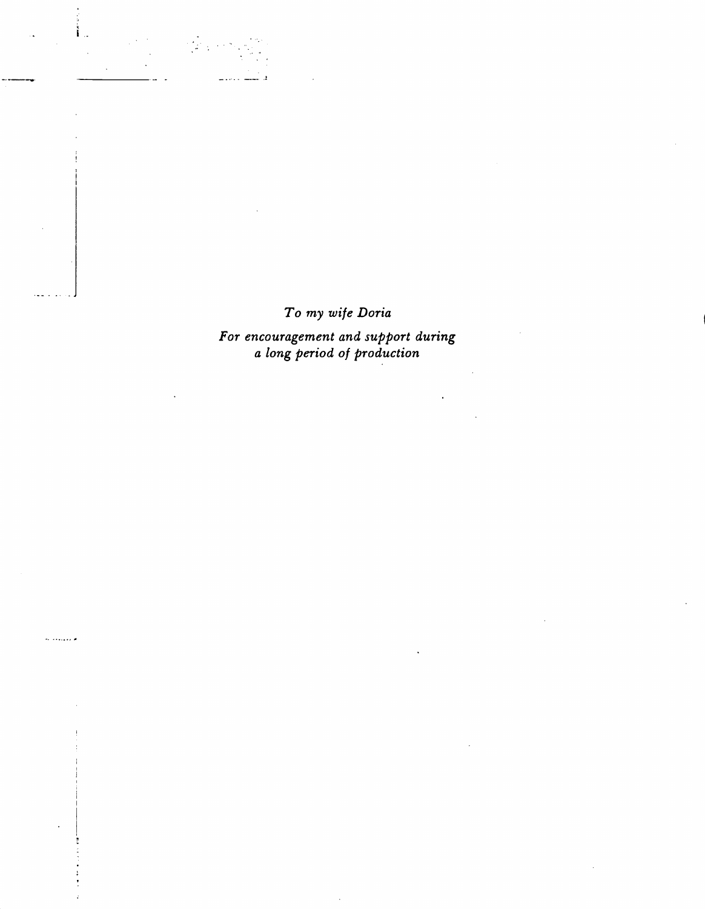#### To my wife Doria

#### For encouragement and support during a long period of production

 $\ddot{\phantom{0}}$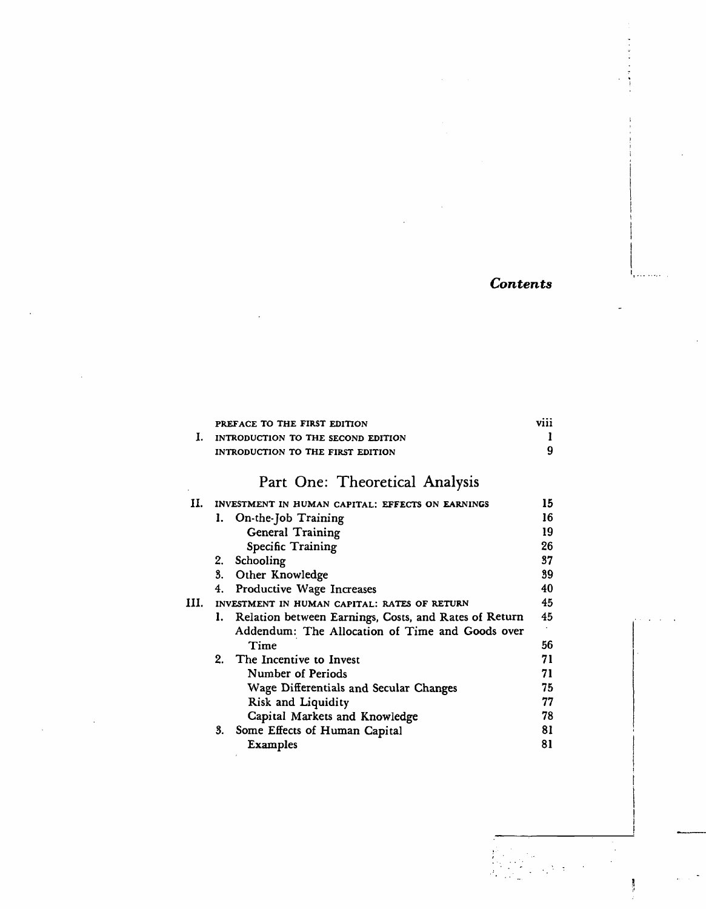#### Contents

 $\sim$  .

 $\mathcal{L}_{\mathcal{A}}$ 

| PREFACE TO THE FIRST EDITION       | $\cdots$<br>VIII |
|------------------------------------|------------------|
| INTRODUCTION TO THE SECOND EDITION |                  |
| INTRODUCTION TO THE FIRST EDITION  |                  |

# Part One: Theoretical Analysis

 $\overline{a}$ 

| Н. |    | INVESTMENT IN HUMAN CAPITAL: EFFECTS ON EARNINGS      | 15 |  |
|----|----|-------------------------------------------------------|----|--|
|    |    | 1. On-the-Job Training                                | 16 |  |
|    |    | <b>General Training</b>                               | 19 |  |
|    |    | <b>Specific Training</b>                              | 26 |  |
|    | 2. | Schooling                                             | 37 |  |
|    | 3. | Other Knowledge                                       | 39 |  |
|    | 4. | <b>Productive Wage Increases</b>                      | 40 |  |
| Ш. |    | INVESTMENT IN HUMAN CAPITAL: RATES OF RETURN          | 45 |  |
|    | 1. | Relation between Earnings, Costs, and Rates of Return | 45 |  |
|    |    | Addendum: The Allocation of Time and Goods over       |    |  |
|    |    | Time                                                  | 56 |  |
|    |    | 2. The Incentive to Invest                            | 71 |  |
|    |    | Number of Periods                                     | 71 |  |
|    |    | Wage Differentials and Secular Changes                | 75 |  |
|    |    | Risk and Liquidity                                    | 77 |  |
|    |    | Capital Markets and Knowledge                         | 78 |  |
|    | 3. | Some Effects of Human Capital                         | 81 |  |
|    |    | <b>Examples</b>                                       | 81 |  |
|    |    |                                                       |    |  |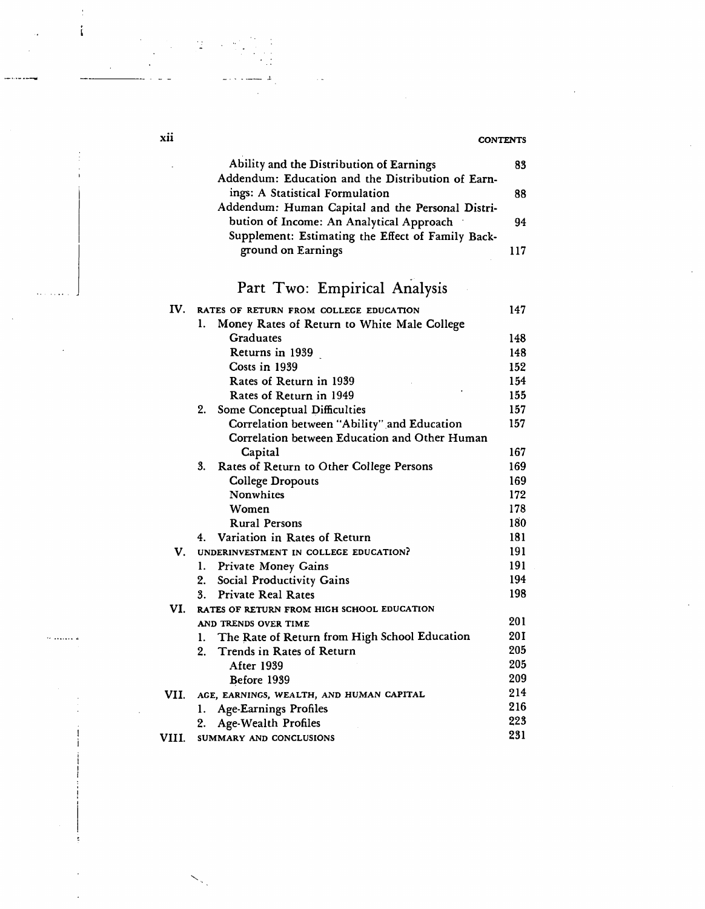$\epsilon$ 

| Ability and the Distribution of Earnings          | 83 |
|---------------------------------------------------|----|
| Addendum: Education and the Distribution of Earn- |    |
| ings: A Statistical Formulation                   | 88 |
| Addendum: Human Capital and the Personal Distri-  |    |
| bution of Income: An Analytical Approach          | 94 |
| Supplement: Estimating the Effect of Family Back- |    |
| ground on Earnings                                |    |

# Part Two: Empirical Analysis

| IV.   | RATES OF RETURN FROM COLLEGE EDUCATION            | 147 |
|-------|---------------------------------------------------|-----|
|       | Money Rates of Return to White Male College<br>1. |     |
|       | Graduates                                         | 148 |
|       | Returns in 1939                                   | 148 |
|       | Costs in 1939                                     | 152 |
|       | Rates of Return in 1939                           | 154 |
|       | Rates of Return in 1949                           | 155 |
|       | 2.<br>Some Conceptual Difficulties                | 157 |
|       | Correlation between "Ability" and Education       | 157 |
|       | Correlation between Education and Other Human     |     |
|       | Capital                                           | 167 |
|       | 3.<br>Rates of Return to Other College Persons    | 169 |
|       | <b>College Dropouts</b>                           | 169 |
|       | <b>Nonwhites</b>                                  | 172 |
|       | Women                                             | 178 |
|       | <b>Rural Persons</b>                              | 180 |
|       | 4. Variation in Rates of Return                   | 181 |
| V.    | UNDERINVESTMENT IN COLLEGE EDUCATION?             | 191 |
|       | Private Money Gains<br>1.                         | 191 |
|       | Social Productivity Gains<br>2.                   | 194 |
|       | <b>Private Real Rates</b><br>3.                   | 198 |
| VI.   | RATES OF RETURN FROM HIGH SCHOOL EDUCATION        |     |
|       | AND TRENDS OVER TIME                              | 201 |
|       | 1. The Rate of Return from High School Education  | 20I |
|       | Trends in Rates of Return<br>2.                   | 205 |
|       | <b>After 1939</b>                                 | 205 |
|       | Before 1939                                       | 209 |
| VII.  | AGE, EARNINGS, WEALTH, AND HUMAN CAPITAL          | 214 |
|       | <b>Age-Earnings Profiles</b><br>ı.                | 216 |
|       | Age-Wealth Profiles<br>2.                         | 223 |
| VIII. | SUMMARY AND CONCLUSIONS                           | 231 |

l,

÷.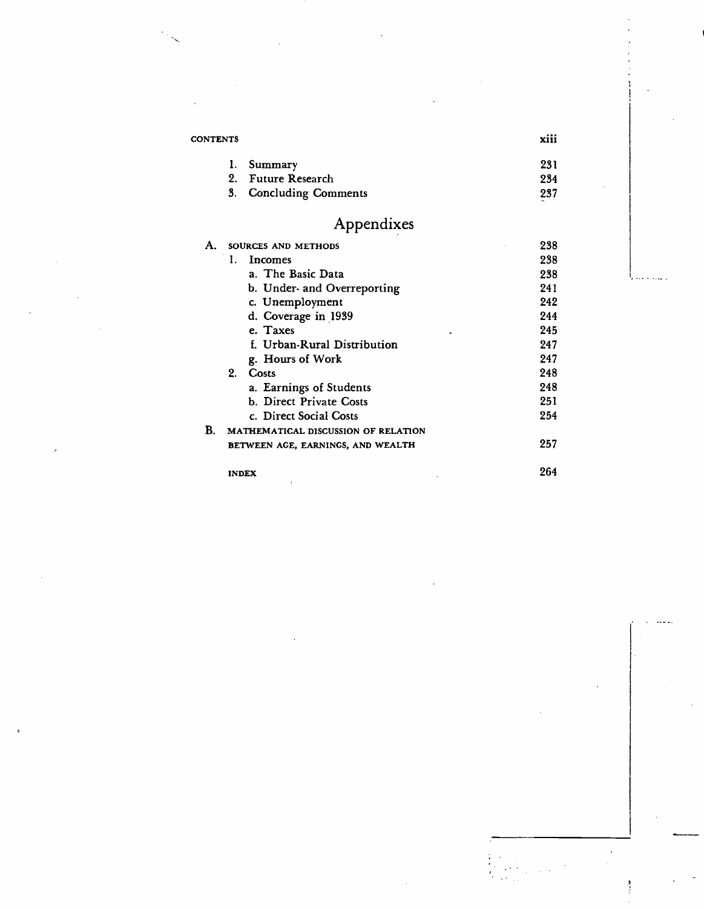contents in the set of the set of the set of the set of the set of the set of the set of the set of the set of the set of the set of the set of the set of the set of the set of the set of the set of the set of the set of t

 $\rightarrow$ 

| 1. Summary             | 231 |
|------------------------|-----|
| 2. Future Research     | 234 |
| 3. Concluding Comments | 237 |

# Appendixes

| А. | SOURCES AND METHODS                 | 238 |
|----|-------------------------------------|-----|
|    | Incomes                             | 238 |
|    | a. The Basic Data                   | 238 |
|    | b. Under- and Overreporting         | 241 |
|    | c. Unemployment                     | 242 |
|    | d. Coverage in 1939                 | 244 |
|    | e. Taxes                            | 245 |
|    | f. Urban-Rural Distribution         | 247 |
|    | g. Hours of Work                    | 247 |
|    | 2.<br>Costs                         | 248 |
|    | a. Earnings of Students             | 248 |
|    | b. Direct Private Costs             | 251 |
|    | c. Direct Social Costs              | 254 |
| B. | MATHEMATICAL DISCUSSION OF RELATION |     |
|    | BETWEEN AGE, EARNINGS, AND WEALTH   | 257 |
|    | <b>INDEX</b>                        | 264 |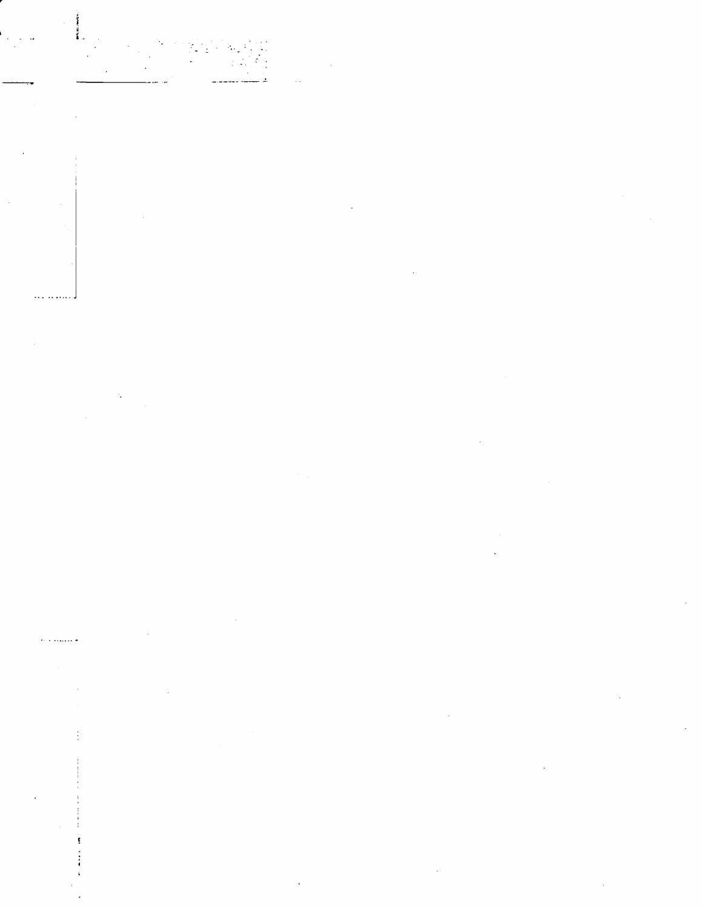$\label{eq:2.1} \frac{1}{\sqrt{2}}\int_{\mathbb{R}^3}\frac{1}{\sqrt{2}}\left(\frac{1}{\sqrt{2}}\right)^2\frac{1}{\sqrt{2}}\left(\frac{1}{\sqrt{2}}\right)^2\frac{1}{\sqrt{2}}\left(\frac{1}{\sqrt{2}}\right)^2\frac{1}{\sqrt{2}}\left(\frac{1}{\sqrt{2}}\right)^2.$ 

i<br>S

 $\label{eq:2.1} \frac{1}{\sqrt{2}}\sum_{i=1}^n\frac{1}{\sqrt{2}}\sum_{i=1}^n\frac{1}{\sqrt{2}}\sum_{i=1}^n\frac{1}{\sqrt{2}}\sum_{i=1}^n\frac{1}{\sqrt{2}}\sum_{i=1}^n\frac{1}{\sqrt{2}}\sum_{i=1}^n\frac{1}{\sqrt{2}}\sum_{i=1}^n\frac{1}{\sqrt{2}}\sum_{i=1}^n\frac{1}{\sqrt{2}}\sum_{i=1}^n\frac{1}{\sqrt{2}}\sum_{i=1}^n\frac{1}{\sqrt{2}}\sum_{i=1}^n\frac$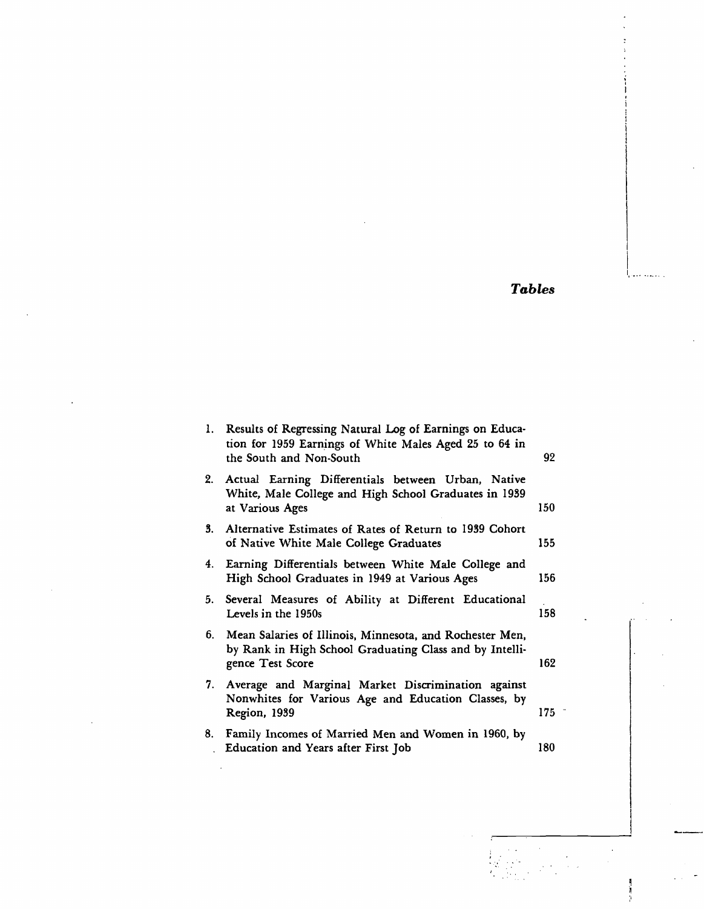### Tables

|    | 1. Results of Regressing Natural Log of Earnings on Educa-<br>tion for 1959 Earnings of White Males Aged 25 to 64 in<br>the South and Non-South | 92      |
|----|-------------------------------------------------------------------------------------------------------------------------------------------------|---------|
|    | 2. Actual Earning Differentials between Urban, Native<br>White, Male College and High School Graduates in 1939<br>at Various Ages               | 150     |
| 3. | Alternative Estimates of Rates of Return to 1939 Cohort<br>of Native White Male College Graduates                                               | 155     |
|    | 4. Earning Differentials between White Male College and<br>High School Graduates in 1949 at Various Ages                                        | 156     |
| 5. | Several Measures of Ability at Different Educational<br>Levels in the 1950s                                                                     | 158     |
|    | 6. Mean Salaries of Illinois, Minnesota, and Rochester Men,<br>by Rank in High School Graduating Class and by Intelli-<br>gence Test Score      | 162     |
|    | 7. Average and Marginal Market Discrimination against<br>Nonwhites for Various Age and Education Classes, by<br>Region, 1939                    | $175 -$ |
| 8. | Family Incomes of Married Men and Women in 1960, by<br>Education and Years after First Job                                                      | 180     |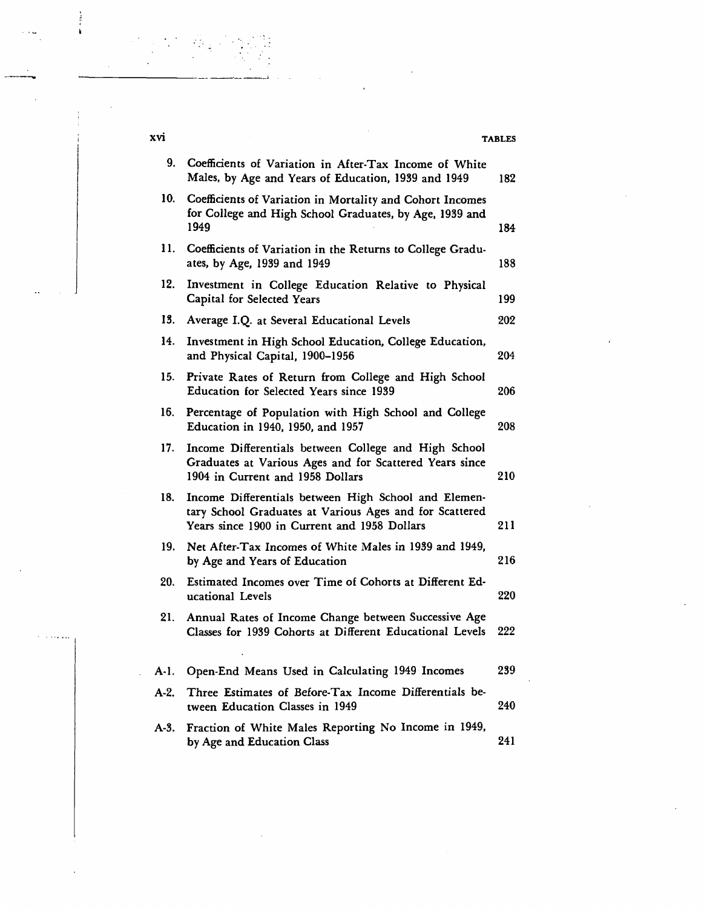|--|--|--|

| 9.   | Coefficients of Variation in After-Tax Income of White<br>Males, by Age and Years of Education, 1939 and 1949                                                   | 182 |
|------|-----------------------------------------------------------------------------------------------------------------------------------------------------------------|-----|
| 10.  | Coefficients of Variation in Mortality and Cohort Incomes<br>for College and High School Graduates, by Age, 1939 and<br>1949                                    | 184 |
| 11.  | Coefficients of Variation in the Returns to College Gradu-<br>ates, by Age, 1939 and 1949                                                                       | 188 |
| 12.  | Investment in College Education Relative to Physical<br>Capital for Selected Years                                                                              | 199 |
| 13.  | Average I.Q. at Several Educational Levels                                                                                                                      | 202 |
| 14.  | Investment in High School Education, College Education,<br>and Physical Capital, 1900-1956                                                                      | 204 |
| 15.  | Private Rates of Return from College and High School<br>Education for Selected Years since 1939                                                                 | 206 |
| 16.  | Percentage of Population with High School and College<br>Education in 1940, 1950, and 1957                                                                      | 208 |
| 17.  | Income Differentials between College and High School<br>Graduates at Various Ages and for Scattered Years since<br>1904 in Current and 1958 Dollars             | 210 |
| 18.  | Income Differentials between High School and Elemen-<br>tary School Graduates at Various Ages and for Scattered<br>Years since 1900 in Current and 1958 Dollars | 211 |
| 19.  | Net After-Tax Incomes of White Males in 1939 and 1949,<br>by Age and Years of Education                                                                         | 216 |
| 20.  | Estimated Incomes over Time of Cohorts at Different Ed-<br>ucational Levels                                                                                     | 220 |
| 21.  | Annual Rates of Income Change between Successive Age<br>Classes for 1939 Cohorts at Different Educational Levels                                                | 222 |
| A-l. | Open-End Means Used in Calculating 1949 Incomes                                                                                                                 | 239 |
| A-2. | Three Estimates of Before-Tax Income Differentials be-<br>tween Education Classes in 1949                                                                       | 240 |
| A-3. | Fraction of White Males Reporting No Income in 1949,<br>by Age and Education Class                                                                              | 241 |

 $\pmb{\cdot}$ 

xvi and the state of the state of the state of the state of the state of the state of the state of the state o

 $\hat{\mathcal{A}}$ 

 $\ddot{\phantom{a}}$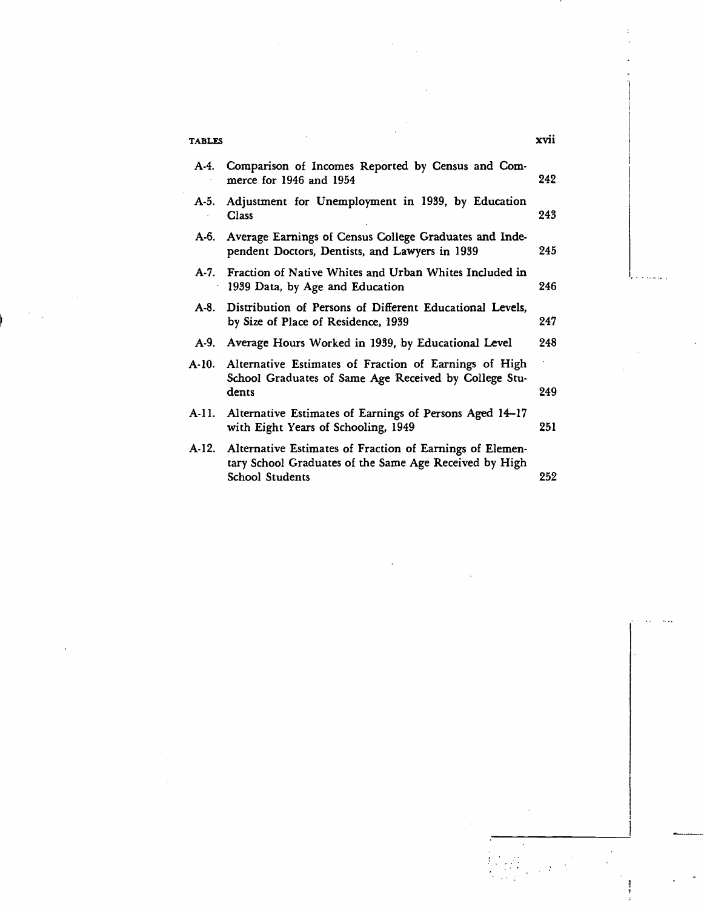#### TABLES XV11

|        | A-4. Comparison of Incomes Reported by Census and Com-<br>merce for 1946 and 1954                                                            | 242 |
|--------|----------------------------------------------------------------------------------------------------------------------------------------------|-----|
| A-5.   | Adjustment for Unemployment in 1939, by Education<br>Class                                                                                   | 243 |
| A-6.   | Average Earnings of Census College Graduates and Inde-<br>pendent Doctors, Dentists, and Lawyers in 1939                                     | 245 |
| $A-7.$ | Fraction of Native Whites and Urban Whites Included in<br>1939 Data, by Age and Education                                                    | 246 |
| A-8.   | Distribution of Persons of Different Educational Levels,<br>by Size of Place of Residence, 1939                                              | 247 |
| A-9.   | Average Hours Worked in 1939, by Educational Level                                                                                           | 248 |
|        | A-10. Alternative Estimates of Fraction of Earnings of High<br>School Graduates of Same Age Received by College Stu-<br>dents                | 249 |
| A-11.  | Alternative Estimates of Earnings of Persons Aged 14-17<br>with Eight Years of Schooling, 1949                                               | 251 |
| A-12.  | Alternative Estimates of Fraction of Earnings of Elemen-<br>tary School Graduates of the Same Age Received by High<br><b>School Students</b> | 252 |
|        |                                                                                                                                              |     |

 $\ddot{\phantom{a}}$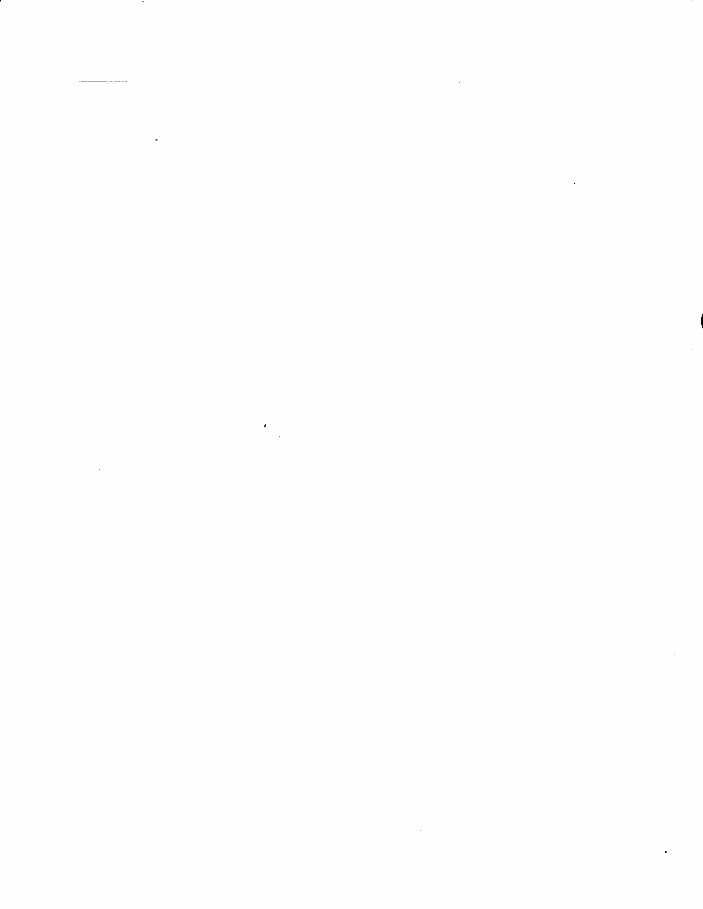$\mathcal{L}_{\text{max}}$  .

 $\frac{1}{2}$ 

Ĵ,

 $\label{eq:q} \begin{aligned} \mathbf{q}_i &= \frac{1}{\sqrt{2\pi}} \mathbf{q}_i \mathbf{q}_i \mathbf{q}_i \mathbf{q}_i \mathbf{q}_i \mathbf{q}_i \mathbf{q}_i \mathbf{q}_i \mathbf{q}_i \mathbf{q}_i \mathbf{q}_i \mathbf{q}_i \mathbf{q}_i \mathbf{q}_i \mathbf{q}_i \mathbf{q}_i \mathbf{q}_i \mathbf{q}_i \mathbf{q}_i \mathbf{q}_i \mathbf{q}_i \mathbf{q}_i \mathbf{q}_i \mathbf{q}_i \mathbf{q}_i \mathbf{q}_i \mathbf{q}_$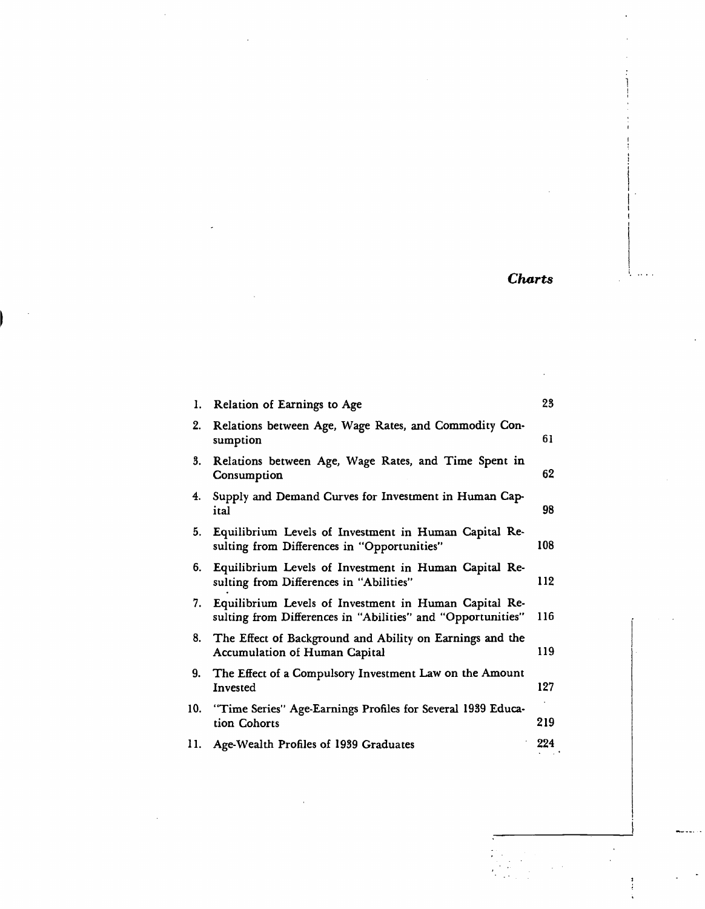### Charts

 $\sim 10^{-11}$ 

 $\sim$   $\sim$ 

| 1.  | Relation of Earnings to Age                                                                                          | 23  |
|-----|----------------------------------------------------------------------------------------------------------------------|-----|
| 2.  | Relations between Age, Wage Rates, and Commodity Con-<br>sumption                                                    | 61  |
| 3.  | Relations between Age, Wage Rates, and Time Spent in<br>Consumption                                                  | 62  |
| 4.  | Supply and Demand Curves for Investment in Human Cap-<br>ital                                                        | 98  |
| 5.  | Equilibrium Levels of Investment in Human Capital Re-<br>sulting from Differences in "Opportunities"                 | 108 |
| 6.  | Equilibrium Levels of Investment in Human Capital Re-<br>sulting from Differences in "Abilities"                     | 112 |
| 7.  | Equilibrium Levels of Investment in Human Capital Re-<br>sulting from Differences in "Abilities" and "Opportunities" | 116 |
| 8.  | The Effect of Background and Ability on Earnings and the<br>Accumulation of Human Capital                            | 119 |
| 9.  | The Effect of a Compulsory Investment Law on the Amount<br>Invested                                                  | 127 |
| 10. | "Time Series" Age-Earnings Profiles for Several 1939 Educa-<br>tion Cohorts                                          | 219 |
| 11. | Age-Wealth Profiles of 1939 Graduates                                                                                | 224 |
|     |                                                                                                                      |     |

 $\sim 10^{11}$  m  $^{-1}$  .

 $\ddot{\phantom{a}}$ 

 $\mathcal{L}^{\mathcal{L}}(\mathcal{L}^{\mathcal{L}}(\mathcal{L}^{\mathcal{L}}(\mathcal{L}^{\mathcal{L}}(\mathcal{L}^{\mathcal{L}}(\mathcal{L}^{\mathcal{L}}(\mathcal{L}^{\mathcal{L}}(\mathcal{L}^{\mathcal{L}}(\mathcal{L}^{\mathcal{L}}(\mathcal{L}^{\mathcal{L}}(\mathcal{L}^{\mathcal{L}}(\mathcal{L}^{\mathcal{L}}(\mathcal{L}^{\mathcal{L}}(\mathcal{L}^{\mathcal{L}}(\mathcal{L}^{\mathcal{L}}(\mathcal{L}^{\mathcal{L}}(\mathcal{L}^{\mathcal{L$ 

 $\mathcal{L}^{\mathcal{L}}(\mathcal{L}^{\mathcal{L}})$  and  $\mathcal{L}^{\mathcal{L}}(\mathcal{L}^{\mathcal{L}})$  and  $\mathcal{L}^{\mathcal{L}}(\mathcal{L}^{\mathcal{L}})$